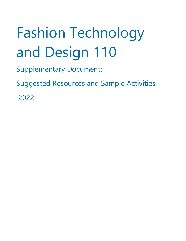# Fashion Technology and Design 110

Supplementary Document:

Suggested Resources and Sample Activities

2022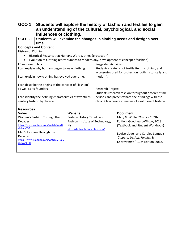## **GCO 1 Students will explore the history of fashion and textiles to gain an understanding of the cultural, psychological, and social influences of clothing.**

| <b>SCO 1.1</b>                                                                                                                                                               |                                                                                                                                       |                                                                                                                                                                                         |                              | Students will examine the changes in clothing needs and designs over                                                                                                                                                                |
|------------------------------------------------------------------------------------------------------------------------------------------------------------------------------|---------------------------------------------------------------------------------------------------------------------------------------|-----------------------------------------------------------------------------------------------------------------------------------------------------------------------------------------|------------------------------|-------------------------------------------------------------------------------------------------------------------------------------------------------------------------------------------------------------------------------------|
|                                                                                                                                                                              | time.                                                                                                                                 |                                                                                                                                                                                         |                              |                                                                                                                                                                                                                                     |
|                                                                                                                                                                              | <b>Concepts and Content</b>                                                                                                           |                                                                                                                                                                                         |                              |                                                                                                                                                                                                                                     |
| <b>History of Clothing</b>                                                                                                                                                   |                                                                                                                                       |                                                                                                                                                                                         |                              |                                                                                                                                                                                                                                     |
| $\bullet$                                                                                                                                                                    | Historical Reasons that Humans Wore Clothes (protection)                                                                              |                                                                                                                                                                                         |                              |                                                                                                                                                                                                                                     |
|                                                                                                                                                                              |                                                                                                                                       |                                                                                                                                                                                         |                              | Evolution of Clothing (early humans to modern day, development of concept of fashion)                                                                                                                                               |
| I Can - exemplars:                                                                                                                                                           |                                                                                                                                       |                                                                                                                                                                                         | <b>Suggested Activities:</b> |                                                                                                                                                                                                                                     |
|                                                                                                                                                                              | I can explain why humans began to wear clothing.                                                                                      |                                                                                                                                                                                         |                              | Students create list of textile items, clothing, and                                                                                                                                                                                |
|                                                                                                                                                                              |                                                                                                                                       |                                                                                                                                                                                         |                              | accessories used for protection (both historically and                                                                                                                                                                              |
|                                                                                                                                                                              | I can explain how clothing has evolved over time.                                                                                     |                                                                                                                                                                                         | modern).                     |                                                                                                                                                                                                                                     |
| I can describe the origins of the concept of "fashion"<br>as well as its founders.<br>I can identify the defining characteristics of twentieth<br>century fashion by decade. |                                                                                                                                       | Research Project:<br>Students research fashion throughout different time<br>periods and present/share their findings with the<br>class. Class creates timeline of evolution of fashion. |                              |                                                                                                                                                                                                                                     |
| <b>Resources</b>                                                                                                                                                             |                                                                                                                                       | <b>Website</b>                                                                                                                                                                          |                              |                                                                                                                                                                                                                                     |
| <b>Video</b><br>Decades:<br>z90wlwYs8<br>Decades:<br><b>kMWVIFUU</b>                                                                                                         | Women's Fashion Through the<br>https://www.youtube.com/watch?v=M4<br>Men's Fashion Through the<br>https://www.youtube.com/watch?v=DaS | Fashion History Timeline -<br>Fashion Institute of Technology,<br><b>NY</b><br>https://fashionhistory.fitnyc.edu/                                                                       |                              | <b>Document</b><br>Mary G. Wolfe, "Fashion", 7th<br>Edition, Goodheart-Wilcox, 2018.<br>(Textbook and Student Workbook)<br>Louise Liddell and Carolee Samuels,<br>"Apparel Design, Textiles &<br>Construction", 11th Edition, 2018. |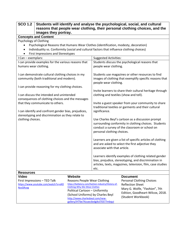| <b>SCO 1.2</b><br>images they portray.                                                                                                                                                                                                            | Students will identify and analyse the psychological, social, and cultural<br>reasons that people wear clothing, their personal clothing choices, and the                                                                   |                                                         |                                                                                                                                                                             |
|---------------------------------------------------------------------------------------------------------------------------------------------------------------------------------------------------------------------------------------------------|-----------------------------------------------------------------------------------------------------------------------------------------------------------------------------------------------------------------------------|---------------------------------------------------------|-----------------------------------------------------------------------------------------------------------------------------------------------------------------------------|
| <b>Concepts and Content</b>                                                                                                                                                                                                                       |                                                                                                                                                                                                                             |                                                         |                                                                                                                                                                             |
| Psychology of Clothing<br>Psychological Reasons that Humans Wear Clothes (identification, modesty, decoration)<br>Individuality vs. Conformity (social and cultural factors that influence clothing choices)<br>First Impressions and Stereotypes |                                                                                                                                                                                                                             |                                                         |                                                                                                                                                                             |
| I Can - exemplars:                                                                                                                                                                                                                                |                                                                                                                                                                                                                             | <b>Suggested Activities:</b>                            |                                                                                                                                                                             |
| I can provide examples for the various reasons that<br>humans wear clothing.                                                                                                                                                                      |                                                                                                                                                                                                                             | people wear clothing.                                   | Students discuss the psychological reasons that                                                                                                                             |
| I can demonstrate cultural clothing choices in my<br>community (both traditional and modern).                                                                                                                                                     |                                                                                                                                                                                                                             | people wear clothing.                                   | Students use magazines or other resources to find<br>images of clothing that exemplify specific reasons that                                                                |
| I can provide reasoning for my clothing choices.                                                                                                                                                                                                  |                                                                                                                                                                                                                             |                                                         |                                                                                                                                                                             |
| I can discuss the intended and unintended<br>consequences of clothing choices and the messages<br>that they communicate to others.<br>I can identify and confront gender bias, prejudices,                                                        |                                                                                                                                                                                                                             | clothing and textiles (show and tell).<br>significance. | Invite learners to share their cultural heritage through<br>Invite a guest speaker from your community to share<br>traditional textiles or garments and their cultural      |
| stereotyping and discrimination as they relate to<br>clothing choices.                                                                                                                                                                            |                                                                                                                                                                                                                             | personal clothing choices.                              | Use Charles Beyl's cartoon as a discussion prompt<br>surrounding conformity in clothing choices. Students<br>conduct a survey of the classroom or school on                 |
|                                                                                                                                                                                                                                                   |                                                                                                                                                                                                                             | associate with that article.                            | Learners are given a list of specific articles of clothing<br>and are asked to select the first adjective they                                                              |
|                                                                                                                                                                                                                                                   |                                                                                                                                                                                                                             | etc.                                                    | Learners identify examples of clothing related gender<br>bias, prejudice, stereotyping, and discrimination in<br>articles, texts, magazines, television, film, case studies |
| <b>Resources</b>                                                                                                                                                                                                                                  |                                                                                                                                                                                                                             |                                                         |                                                                                                                                                                             |
| <b>Video</b><br>First Impressions - TED Talk<br>https://www.youtube.com/watch?v=eK0<br><b>NzsGRceg</b>                                                                                                                                            | Website<br>Reasons People Wear Clothing<br>Clothing-Why-We-Wear-Clothes<br>Political Cartoon - Uniformity<br>(School Uniforms) by Charles Beyl<br>http://www.charlesbeyl.com/new-<br>gallery/Irf7be74zuwc6edgiksl70377mbqui | https://bellatory.com/fashion-industry/History-of-      | <b>Document</b><br>Personal Clothing Choices<br><b>Reflection Sheet</b><br>Mary G. Wolfe, "Fashion", 7th<br>Edition, Goodheart-Wilcox, 2018.<br>(Student Workbook)          |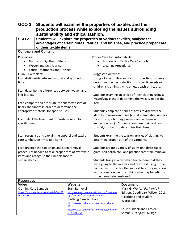| GCO <sub>2</sub>                                                                         | Students will examine the properties of textiles and their                                             |                                                                                                                                                      |                                                                                                                                                                                                                                |                                                                                                                                                                        |
|------------------------------------------------------------------------------------------|--------------------------------------------------------------------------------------------------------|------------------------------------------------------------------------------------------------------------------------------------------------------|--------------------------------------------------------------------------------------------------------------------------------------------------------------------------------------------------------------------------------|------------------------------------------------------------------------------------------------------------------------------------------------------------------------|
|                                                                                          | production process while exploring the issues surrounding                                              |                                                                                                                                                      |                                                                                                                                                                                                                                |                                                                                                                                                                        |
|                                                                                          | sustainability and ethical fashion.                                                                    |                                                                                                                                                      |                                                                                                                                                                                                                                |                                                                                                                                                                        |
| <b>SCO 2.1</b>                                                                           | of their textile items.                                                                                |                                                                                                                                                      |                                                                                                                                                                                                                                | Students will explore the properties of various textiles, analyse the<br>advantages of certain fibres, fabrics, and finishes, and practice proper care                 |
|                                                                                          | <b>Concepts and Content</b>                                                                            |                                                                                                                                                      |                                                                                                                                                                                                                                |                                                                                                                                                                        |
| Properties                                                                               |                                                                                                        |                                                                                                                                                      | Proper Care for Sustainability                                                                                                                                                                                                 |                                                                                                                                                                        |
|                                                                                          | Natural vs. Synthetic Fibers                                                                           |                                                                                                                                                      |                                                                                                                                                                                                                                | Apparel and Textile Care Symbols                                                                                                                                       |
|                                                                                          | <b>Woven and Knit Fabrics</b>                                                                          |                                                                                                                                                      | <b>Cleaning Procedures</b>                                                                                                                                                                                                     |                                                                                                                                                                        |
|                                                                                          | <b>Fabric Treatments and Finishes</b>                                                                  |                                                                                                                                                      |                                                                                                                                                                                                                                |                                                                                                                                                                        |
| I Can - exemplars:                                                                       |                                                                                                        |                                                                                                                                                      | <b>Suggested Activities:</b>                                                                                                                                                                                                   |                                                                                                                                                                        |
| fibres.                                                                                  | I can distinguish between natural and synthetic                                                        |                                                                                                                                                      |                                                                                                                                                                                                                                | Using a table of fibre and fabric properties, students<br>determine the best selections for specific needs ex:<br>children's clothing, gym clothes, beach attire, etc. |
|                                                                                          | I can describe the differences between woven and                                                       |                                                                                                                                                      |                                                                                                                                                                                                                                |                                                                                                                                                                        |
| knit fabrics.                                                                            |                                                                                                        |                                                                                                                                                      |                                                                                                                                                                                                                                | Students examine an article of their clothing using a<br>magnifying glass to determine the weave/knit of the                                                           |
|                                                                                          | I can compare and articulate the characteristics of<br>fibers and fabrics in order to determine the    |                                                                                                                                                      | item.                                                                                                                                                                                                                          |                                                                                                                                                                        |
|                                                                                          | appropriate material for specific uses.                                                                |                                                                                                                                                      | Students complete a series of tests to discover the<br>identity of unknown fibres (visual examination under a                                                                                                                  |                                                                                                                                                                        |
| I can select the treatment or finish required for<br>specific uses.                      |                                                                                                        | microscope, a burning process, and a chemical<br>immersion test). Students compare their test results<br>to analysis charts to determine the fibres. |                                                                                                                                                                                                                                |                                                                                                                                                                        |
| I can recognise and explain the apparel and textile<br>care symbols on my textile items. |                                                                                                        |                                                                                                                                                      |                                                                                                                                                                                                                                | Students examine the tags on articles of clothing to<br>determine proper care of the garments.                                                                         |
|                                                                                          | I can practice the sanitation and stain removal<br>procedures needed to take proper care of my textile |                                                                                                                                                      |                                                                                                                                                                                                                                | Students create a variety of stains on fabrics (juice,<br>grass, nail polish etc.) and practice safe stain removal.                                                    |
| items and recognise their importance to<br>sustainability.                               |                                                                                                        | some items being restored.                                                                                                                           | Students bring in a tarnished textile item that they<br>were going to throw away and restore it using proper<br>techniques. Possibly offer support to an organization<br>with a donation bin for clothing who may benefit from |                                                                                                                                                                        |
| <b>Resources</b>                                                                         |                                                                                                        |                                                                                                                                                      |                                                                                                                                                                                                                                |                                                                                                                                                                        |
| <b>Video</b><br><b>Clothing Care Symbols</b><br>M1qCTcHU                                 | https://www.youtube.com/watch?v=s8T                                                                    | Website<br><b>Stain Removal</b><br>tips/clothes/stain-removal-guide<br><b>Clothing Care Symbols</b><br>df                                            | https://www.cleaninginstitute.org/cleaning-<br>http://www.textileaffairs.com/docs/lguide.p                                                                                                                                     | <b>Document</b><br>Mary G. Wolfe, "Fashion", 7th<br>Edition, Goodheart-Wilcox, 2018.<br>(Textbook and Student<br>Workbook)                                             |
|                                                                                          |                                                                                                        |                                                                                                                                                      | http://www.textileaffairs.com/docs/commo                                                                                                                                                                                       | Louise Liddell and Carolee                                                                                                                                             |

[n-050608.pdf](http://www.textileaffairs.com/docs/common-050608.pdf)

Samuels, *"Apparel Design,*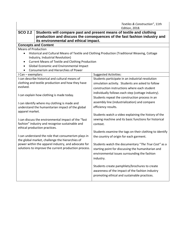|                                                                                                                                         | Textiles & Construction", 11th                                                                                                                                            |  |  |
|-----------------------------------------------------------------------------------------------------------------------------------------|---------------------------------------------------------------------------------------------------------------------------------------------------------------------------|--|--|
| <b>SCO 2.2</b><br>its environmental and ethical impact.                                                                                 | <b>Edition, 2018.</b><br>Students will compare past and present means of textile and clothing<br>production and discuss the consequences of the fast fashion industry and |  |  |
| <b>Concepts and Content</b>                                                                                                             |                                                                                                                                                                           |  |  |
| <b>Means of Production</b>                                                                                                              |                                                                                                                                                                           |  |  |
| $\bullet$<br>Industry, Industrial Revolution)                                                                                           | Historical and Cultural Means of Textile and Clothing Production (Traditional Weaving, Cottage                                                                            |  |  |
| <b>Current Means of Textile and Clothing Production</b><br>$\bullet$                                                                    |                                                                                                                                                                           |  |  |
| Global Economic and Environmental Impact<br>$\bullet$<br>Consumerism and Hierarchies of Power                                           |                                                                                                                                                                           |  |  |
| I Can - exemplars:                                                                                                                      | <b>Suggested Activities:</b>                                                                                                                                              |  |  |
| I can describe historical and cultural means of                                                                                         | Students participate in an industrial revolution                                                                                                                          |  |  |
| clothing and textile production and how they have                                                                                       | simulation activity. Students are asked to follow                                                                                                                         |  |  |
| evolved.                                                                                                                                | construction instructions where each student                                                                                                                              |  |  |
|                                                                                                                                         | individually follows each step (cottage industry).                                                                                                                        |  |  |
| I can explain how clothing is made today.                                                                                               | Students repeat the construction process in an                                                                                                                            |  |  |
| I can identify where my clothing is made and                                                                                            | assembly line (industrialization) and compare                                                                                                                             |  |  |
| understand the humanitarian impact of the global                                                                                        | efficiency results.                                                                                                                                                       |  |  |
| apparel market.                                                                                                                         |                                                                                                                                                                           |  |  |
|                                                                                                                                         | Students watch a video explaining the history of the                                                                                                                      |  |  |
| I can discuss the environmental impact of the "fast<br>fashion" industry and recognise sustainable and<br>ethical production practices. | sewing machine and its basic functions for historical<br>context.                                                                                                         |  |  |
|                                                                                                                                         | Students examine the tags on their clothing to identify                                                                                                                   |  |  |
| I can understand the role that consumerism plays in<br>the global market, challenge the hierarchies of                                  | the country of origin for each garment.                                                                                                                                   |  |  |
| power within the apparel industry, and advocate for                                                                                     | Students watch the documentary "The True Cost" as a                                                                                                                       |  |  |
| solutions to improve the current production process.                                                                                    | starting point for discussing the humanitarian and                                                                                                                        |  |  |
|                                                                                                                                         | environmental issues surrounding the fashion                                                                                                                              |  |  |
|                                                                                                                                         | industry.                                                                                                                                                                 |  |  |
|                                                                                                                                         | Students create pamphlets/brochures to create                                                                                                                             |  |  |
|                                                                                                                                         | awareness of the impact of the fashion industry                                                                                                                           |  |  |
|                                                                                                                                         | promoting ethical and sustainable practices.                                                                                                                              |  |  |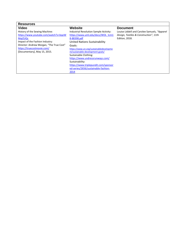| <b>Resources</b>                         |                                               |                                              |
|------------------------------------------|-----------------------------------------------|----------------------------------------------|
| <b>Video</b>                             | Website                                       | <b>Document</b>                              |
| History of the Sewing Machine:           | <b>Industrial Revolution Sample Activity:</b> | Louise Liddell and Carolee Samuels, "Apparel |
| https://www.youtube.com/watch?v=bqeW     | https://www.uml.edu/docs/WOL_tcm1             | Design, Textiles & Construction", 11th       |
| <b>MaiZUQc</b>                           | 8-88398.pdf                                   | <b>Edition, 2018.</b>                        |
| Impact of the Fashion Industry:          | United Nations Sustainability                 |                                              |
| Director: Andrew Morgan, "The True Cost" | Goals:                                        |                                              |
| https://truecostmovie.com/               | https://www.un.org/sustainabledevelopme       |                                              |
| [Documentary], May 15, 2015.             | nt/sustainable-development-goals/             |                                              |
|                                          | Sustainable Clothing:                         |                                              |
|                                          | https://www.undressrunways.com/               |                                              |
|                                          | Sustainability:                               |                                              |
|                                          | https://www.triplepundit.com/sponsor          |                                              |
|                                          | ed-series/2656/sustainable-fashion-           |                                              |
|                                          | 2014                                          |                                              |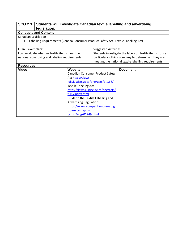### **SCO 2.3 Students will investigate Canadian textile labelling and advertising legislation.**

#### **Concepts and Content**

Canadian Legislation

• Labelling Requirements (Canada Consumer Product Safety Act, Textile Labelling Act)

| I Can - exemplars:                                                                               |                                         | <b>Suggested Activities:</b>                                                                                                                                            |                 |
|--------------------------------------------------------------------------------------------------|-----------------------------------------|-------------------------------------------------------------------------------------------------------------------------------------------------------------------------|-----------------|
| I can evaluate whether textile items meet the<br>national advertising and labeling requirements. |                                         | Students investigate the labels on textile items from a<br>particular clothing company to determine if they are<br>meeting the national textile labelling requirements. |                 |
| <b>Resources</b>                                                                                 |                                         |                                                                                                                                                                         |                 |
| Video                                                                                            | Website                                 |                                                                                                                                                                         | <b>Document</b> |
|                                                                                                  | <b>Canadian Consumer Product Safety</b> |                                                                                                                                                                         |                 |
|                                                                                                  | Act https://laws-                       |                                                                                                                                                                         |                 |
|                                                                                                  | lois.justice.gc.ca/eng/acts/c-1.68/     |                                                                                                                                                                         |                 |
|                                                                                                  | <b>Textile Labeling Act</b>             |                                                                                                                                                                         |                 |
|                                                                                                  |                                         | https://laws.justice.gc.ca/eng/acts/                                                                                                                                    |                 |
|                                                                                                  | t-10/index.html                         |                                                                                                                                                                         |                 |
|                                                                                                  | Guide to the Textile Labelling and      |                                                                                                                                                                         |                 |
| <b>Advertising Regulations</b>                                                                   |                                         |                                                                                                                                                                         |                 |
|                                                                                                  |                                         | https://www.competitionbureau.g                                                                                                                                         |                 |
| c.ca/eic/site/cb-                                                                                |                                         |                                                                                                                                                                         |                 |
|                                                                                                  | bc.nsf/eng/01249.html                   |                                                                                                                                                                         |                 |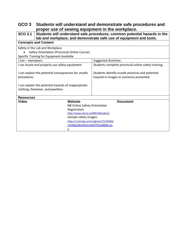# **GCO 3 Students will understand and demonstrate safe procedures and proper use of sewing equipment in the workplace.**

| $SCO$ 3.1                                |                                                      | Students will understand safe procedures, common potential hazards in the<br>lab and workplace, and demonstrate safe use of equipment and tools. |  |  |  |
|------------------------------------------|------------------------------------------------------|--------------------------------------------------------------------------------------------------------------------------------------------------|--|--|--|
|                                          | <b>Concepts and Content</b>                          |                                                                                                                                                  |  |  |  |
|                                          | Safety in the Lab and Workplace                      |                                                                                                                                                  |  |  |  |
|                                          | Safety Orientation (Provincial Online Course)        |                                                                                                                                                  |  |  |  |
|                                          | Specific Training for Equipment Available            |                                                                                                                                                  |  |  |  |
| I Can - exemplars:                       |                                                      | <b>Suggested Activities:</b>                                                                                                                     |  |  |  |
|                                          | I can locate and properly use safety equipment       | Students complete provincial online safety training.                                                                                             |  |  |  |
|                                          | I can explain the potential consequences for unsafe  | Students identify unsafe practices and potential                                                                                                 |  |  |  |
| procedures                               |                                                      | hazards in images or scenarios presented.                                                                                                        |  |  |  |
|                                          | I can explain the potential hazards of inappropriate |                                                                                                                                                  |  |  |  |
|                                          | clothing, footwear, and jewellery                    |                                                                                                                                                  |  |  |  |
| <b>Resources</b>                         |                                                      |                                                                                                                                                  |  |  |  |
| Video                                    | Website                                              | <b>Document</b>                                                                                                                                  |  |  |  |
|                                          | NB Online Safety Orientation                         |                                                                                                                                                  |  |  |  |
|                                          | Registration                                         |                                                                                                                                                  |  |  |  |
|                                          | http://www.nbcsa.ca/NBCSAStudent/                    |                                                                                                                                                  |  |  |  |
|                                          | Sample safety images:                                |                                                                                                                                                  |  |  |  |
| https://i.pinimg.com/originals/15/58/8d/ |                                                      |                                                                                                                                                  |  |  |  |
| 15588d198a39a41cfe83f1ff2c68889e.pn      |                                                      |                                                                                                                                                  |  |  |  |
|                                          | g                                                    |                                                                                                                                                  |  |  |  |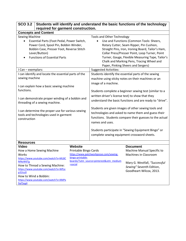| <b>SCO 3.2</b>                                                                                                                                                                                                                                                                                                                                              |                                                                                                                                                                                      |                                                                                                                                           |                                                                                                                                                                                                                                                                                                                                                                                                                                                                 | Students will identify and understand the basic functions of the technology                                                                                           |
|-------------------------------------------------------------------------------------------------------------------------------------------------------------------------------------------------------------------------------------------------------------------------------------------------------------------------------------------------------------|--------------------------------------------------------------------------------------------------------------------------------------------------------------------------------------|-------------------------------------------------------------------------------------------------------------------------------------------|-----------------------------------------------------------------------------------------------------------------------------------------------------------------------------------------------------------------------------------------------------------------------------------------------------------------------------------------------------------------------------------------------------------------------------------------------------------------|-----------------------------------------------------------------------------------------------------------------------------------------------------------------------|
|                                                                                                                                                                                                                                                                                                                                                             | required for garment construction.                                                                                                                                                   |                                                                                                                                           |                                                                                                                                                                                                                                                                                                                                                                                                                                                                 |                                                                                                                                                                       |
|                                                                                                                                                                                                                                                                                                                                                             | <b>Concepts and Content</b>                                                                                                                                                          |                                                                                                                                           |                                                                                                                                                                                                                                                                                                                                                                                                                                                                 |                                                                                                                                                                       |
| <b>Sewing Machine</b><br>Essential Parts (Foot Pedal, Power Switch,<br>٠<br>Power Cord, Spool Pin, Bobbin Winder,<br>Bobbin Case, Presser Foot, Reverse Stitch<br>Lever/Button)<br><b>Functions of Essential Parts</b>                                                                                                                                      |                                                                                                                                                                                      | <b>Tools and Other Technology</b>                                                                                                         | Use and Functions (Common Tools: Sheers,<br>Rotary Cutter, Seam Ripper, Pin Cushion,<br>Straight Pins, Iron, Ironing Board, Tailor's Ham,<br>Collar Press/Presser Point, Loop Turner, Point<br>Turner, Gauge, Flexible Measuring Tape, Tailor's<br>Chalk and Marking Pens, Tracing Wheel and<br>Paper, Pinking Sheers and Sergers)                                                                                                                              |                                                                                                                                                                       |
|                                                                                                                                                                                                                                                                                                                                                             |                                                                                                                                                                                      |                                                                                                                                           | <b>Suggested Activities:</b>                                                                                                                                                                                                                                                                                                                                                                                                                                    |                                                                                                                                                                       |
| I Can - exemplars:<br>I can identify and locate the essential parts of the<br>sewing machine<br>I can explain how a basic sewing machine<br>functions.<br>I can demonstrate proper winding of a bobbin and<br>threading of a sewing machine.<br>I can determine the proper use for various sewing<br>tools and technologies used in garment<br>construction |                                                                                                                                                                                      | image of a machine.<br>written driver's license test) to show that they<br>names and uses.<br>complete sewing equipment crossword sheets. | Students identify the essential parts of the sewing<br>machine using sticky notes on their machines or an<br>Students complete a beginner sewing test (similar to a<br>understand the basic functions and are ready to "drive".<br>Students are given images of other sewing tools and<br>technologies and asked to name them and guess their<br>functions. Students compare their guesses to the actual<br>Students participate in "Sewing Equipment Bingo" or |                                                                                                                                                                       |
| <b>Resources</b>                                                                                                                                                                                                                                                                                                                                            |                                                                                                                                                                                      |                                                                                                                                           |                                                                                                                                                                                                                                                                                                                                                                                                                                                                 |                                                                                                                                                                       |
| <b>Video</b><br><b>Works</b><br><b>MNzW6Tg</b><br>p31lcz0<br>How to Wind a Bobbin:<br>9aF5eg4                                                                                                                                                                                                                                                               | How a Home Sewing Machine<br>https://www.youtube.com/watch?v=ML8C<br>How to Thread a Sewing Machine:<br>https://www.youtube.com/watch?v=WfLe<br>https://www.youtube.com/watch?v=XMPx | Website<br>Printable Bingo Cards<br>bingo-printable-<br>=social                                                                           | https://www.patchworkposse.com/sewing-<br>boards/?utm_source=pinterest&utm_medium                                                                                                                                                                                                                                                                                                                                                                               | <b>Document</b><br>Machine Manual Specific to<br><b>Machines in Classroom</b><br>Mary G. Westfall, "Successful<br>Sewing" Seventh Edition,<br>Goodheart-Wilcox, 2013. |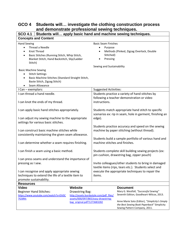| SCO 4.1   Students will apply basic hand and machine sewing techniques.                                                                                                                                   |                                                                                                                                                           |                                                                                                                          |                                                                                                                                                                                                                                       |
|-----------------------------------------------------------------------------------------------------------------------------------------------------------------------------------------------------------|-----------------------------------------------------------------------------------------------------------------------------------------------------------|--------------------------------------------------------------------------------------------------------------------------|---------------------------------------------------------------------------------------------------------------------------------------------------------------------------------------------------------------------------------------|
| <b>Concepts and Content</b>                                                                                                                                                                               |                                                                                                                                                           |                                                                                                                          |                                                                                                                                                                                                                                       |
| <b>Hand Sewing</b><br>Thread a Needle<br><b>Knot Thread</b><br>$\bullet$<br>Basic Stitches (Running Stitch, Whip Stitch,<br>$\bullet$<br>Blanket Stitch, Hand Backstitch, Slip/Ladder<br>Stitch)          |                                                                                                                                                           | <b>Basic Seam Finishes</b><br>Purpose<br>Stitched)<br>Pressing<br>Sewing and Sustainability                              | Methods (Pinked, Zigzag Overlock, Double                                                                                                                                                                                              |
| <b>Basic Machine Sewing</b><br><b>Stitch Settings</b><br>Basic Machine Stitches (Standard Straight Stitch,<br>Baste Stitch, Zigzag Stitch)<br>Seam Allowance<br>$\bullet$                                 |                                                                                                                                                           |                                                                                                                          |                                                                                                                                                                                                                                       |
| I Can - exemplars:                                                                                                                                                                                        |                                                                                                                                                           | <b>Suggested Activities:</b>                                                                                             |                                                                                                                                                                                                                                       |
| I can thread a hand needle.<br>I can knot the ends of my thread.                                                                                                                                          |                                                                                                                                                           | instructions.                                                                                                            | Students practice a variety of hand stitches by<br>following a teacher demonstration or video                                                                                                                                         |
| I can apply basic hand stitches appropriately.                                                                                                                                                            |                                                                                                                                                           | Students match appropriate hand stitch to specific<br>scenarios ex: rip in seam, hole in garment, finishing an<br>edge). |                                                                                                                                                                                                                                       |
| I can adjust my sewing machine to the appropriate<br>settings for various basic stitches.                                                                                                                 |                                                                                                                                                           |                                                                                                                          |                                                                                                                                                                                                                                       |
| I can construct basic machine stitches while<br>consistently maintaining the given seam allowance.<br>I can determine whether a seam requires finishing.                                                  |                                                                                                                                                           | machine stitches and finishes.                                                                                           | Students practice accuracy and speed on the sewing<br>machine by paper stitching (without thread).<br>Students build a sample portfolio of various hand and                                                                           |
| I can finish a seam using a basic method.                                                                                                                                                                 |                                                                                                                                                           |                                                                                                                          | Students complete skill building sewing projects (ex:<br>pin cushion, drawstring bag, zipper pouch)                                                                                                                                   |
| I can press seams and understand the importance of<br>pressing as I sew.<br>I can recognise and apply appropriate sewing<br>techniques to extend the life of a textile item to<br>promote sustainability. |                                                                                                                                                           | items.                                                                                                                   | Invite colleagues/other students to bring in damaged<br>textile items (rips, tears etc.). Students select and<br>execute the appropriate techniques to repair the                                                                     |
| <b>Resources</b>                                                                                                                                                                                          |                                                                                                                                                           |                                                                                                                          |                                                                                                                                                                                                                                       |
| <b>Video</b><br><b>Beginner Hand Stitches:</b><br>https://www.youtube.com/watch?v=EhISC<br>7tZdMs                                                                                                         | <b>Website</b><br><b>Drawstring Bag:</b><br>http://assets.burdastyle.com/pdf_files/<br>assets/000/097/865/easy-drawstring-<br>bag_original.pdf?1273683282 |                                                                                                                          | <b>Document</b><br>Mary G. Westfall, "Successful Sewing"<br>Seventh Edition, Goodheart-Wilcox, 2013.<br>Anne Marie Soto (Editor), "Simplicity's Simply<br>the Best Sewing Book Paperback" Simplicity<br>Sewing Pattern Company, 2011. |

# **GCO 4 Students will… investigate the clothing construction process and demonstrate professional sewing techniques.**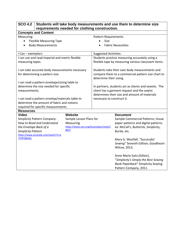| <b>SCO 4.2</b>                                  | Students will take body measurements and use them to determine size |                                               |                                                       |
|-------------------------------------------------|---------------------------------------------------------------------|-----------------------------------------------|-------------------------------------------------------|
|                                                 | requirements needed for clothing construction.                      |                                               |                                                       |
| <b>Concepts and Content</b>                     |                                                                     |                                               |                                                       |
| Measuring                                       |                                                                     | <b>Pattern Requirements</b>                   |                                                       |
| <b>Flexible Measuring Tape</b><br>$\bullet$     |                                                                     | Size                                          |                                                       |
| <b>Body Measurements</b>                        |                                                                     |                                               | <b>Fabric Necessities</b>                             |
|                                                 |                                                                     |                                               |                                                       |
| I Can - exemplars:                              |                                                                     | <b>Suggested Activities:</b>                  |                                                       |
| I can use and read imperial and metric flexible |                                                                     |                                               | Students practice measuring accurately using a        |
| measuring tapes.                                |                                                                     |                                               | flexible tape by measuring various classroom items.   |
|                                                 |                                                                     |                                               |                                                       |
| I can take accurate body measurements necessary |                                                                     |                                               | Students take their own body measurements and         |
| for determining a pattern size.                 |                                                                     |                                               | compare them to a commercial pattern size chart to    |
|                                                 |                                                                     | determine their sizing.                       |                                                       |
| I can read a pattern envelope/sizing table to   |                                                                     |                                               |                                                       |
| determine the size needed for specific          |                                                                     |                                               | In partners, students act as clients and sewists. The |
| measurements.                                   |                                                                     | client has a garment request and the sewist   |                                                       |
|                                                 |                                                                     | determines their size and amount of materials |                                                       |
| I can read a pattern envelop/materials table to |                                                                     | necessary to construct it.                    |                                                       |
| determine the amount of fabric and notions      |                                                                     |                                               |                                                       |
| required for specific measurements.             |                                                                     |                                               |                                                       |
| <b>Resources</b>                                |                                                                     |                                               |                                                       |
| <b>Video</b>                                    | <b>Website</b>                                                      |                                               | <b>Document</b>                                       |
| <b>Simplicity Pattern Company:</b>              | Sample Lesson Plans for                                             |                                               | Sample Commercial Patterns; tissue                    |
| How to Read and Understand                      | Measuring                                                           |                                               | paper patterns and digital patterns                   |
| the Envelope Back of a                          | https://www.uen.org/lessonplan/view/2<br>8657                       |                                               | ex: McCall's, Butterick, Simplicity,                  |
| <b>Simplicity Pattern</b>                       |                                                                     |                                               | Burda, etc.                                           |
| https://www.youtube.com/watch?v=q<br>7YIfFD8bAQ |                                                                     |                                               |                                                       |
|                                                 |                                                                     |                                               | Mary G. Westfall, "Successful                         |
|                                                 |                                                                     |                                               | Sewing" Seventh Edition, Goodheart-                   |
|                                                 |                                                                     |                                               | Wilcox, 2013.                                         |
|                                                 |                                                                     |                                               |                                                       |
|                                                 |                                                                     |                                               | Anne Marie Soto (Editor),                             |
|                                                 |                                                                     |                                               | "Simplicity's Simply the Best Sewing                  |
|                                                 |                                                                     |                                               | <b>Book Paperback" Simplicity Sewing</b>              |
|                                                 |                                                                     |                                               | Pattern Company, 2011.                                |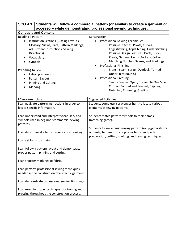| <b>SCO 4.3</b>                                                                                                                                                  | Students will follow a commercial pattern (or similar) to create a garment or<br>accessory while demonstrating professional sewing techniques.                                                                                                                                                                              |  |  |
|-----------------------------------------------------------------------------------------------------------------------------------------------------------------|-----------------------------------------------------------------------------------------------------------------------------------------------------------------------------------------------------------------------------------------------------------------------------------------------------------------------------|--|--|
| <b>Concepts and Content</b>                                                                                                                                     |                                                                                                                                                                                                                                                                                                                             |  |  |
| Reading a Pattern                                                                                                                                               | Construction                                                                                                                                                                                                                                                                                                                |  |  |
| Instruction Sections (Cutting Layouts,<br>Glossary, Views, Flats, Pattern Markings,<br>Adjustment Instructions, Sewing<br>Directions).<br>Vocabulary<br>Symbols | <b>Professional Sewing Techniques</b><br>Possible Stitches: Pivots, Curves,<br>$\circ$<br>Edgestitching, Topstitching, Understitching<br>Possible Design Features: Darts, Tucks,<br>$\circ$<br>Pleats, Gathers, Hems, Pockets, Collars<br>Matching Notches, Seams, and Markings<br>$\circ$<br><b>Professional Finishing</b> |  |  |
| Preparing to Sew                                                                                                                                                | French Seam, Serger Overlock, Turned                                                                                                                                                                                                                                                                                        |  |  |
| Fabric preparation                                                                                                                                              | Under, Bias Bound.)                                                                                                                                                                                                                                                                                                         |  |  |
| Pattern Layout                                                                                                                                                  | <b>Professional Pressing</b>                                                                                                                                                                                                                                                                                                |  |  |
| <b>Pinning and Cutting</b>                                                                                                                                      | Seams Pressed Open, Pressed to One Side,<br>$\circ$                                                                                                                                                                                                                                                                         |  |  |
| Marking                                                                                                                                                         | Corners Pointed and Pressed, Clipping,<br>Notching, Trimming, Grading                                                                                                                                                                                                                                                       |  |  |
|                                                                                                                                                                 |                                                                                                                                                                                                                                                                                                                             |  |  |
| I Can - exemplars:                                                                                                                                              | <b>Suggested Activities:</b>                                                                                                                                                                                                                                                                                                |  |  |
| I can navigate pattern instructions in order to                                                                                                                 | Students complete a scavenger hunt to locate various                                                                                                                                                                                                                                                                        |  |  |
| locate specific information.                                                                                                                                    | elements of sewing patterns.                                                                                                                                                                                                                                                                                                |  |  |
| I can understand and interpret vocabulary and<br>symbols used in beginner commercial sewing<br>patterns.                                                        | Students match pattern symbols to their names<br>(matching game).                                                                                                                                                                                                                                                           |  |  |
| I can determine if a fabric requires preshrinking.                                                                                                              | Students follow a basic sewing pattern (ex: pyjama shorts<br>or pants) to demonstrate proper fabric and pattern<br>preparation, cutting, marking, and sewing techniques.                                                                                                                                                    |  |  |
| I can set fabric on grain.                                                                                                                                      |                                                                                                                                                                                                                                                                                                                             |  |  |
| I can follow a pattern layout and demonstrate<br>proper pattern pinning and cutting.                                                                            |                                                                                                                                                                                                                                                                                                                             |  |  |
| I can transfer markings to fabric.                                                                                                                              |                                                                                                                                                                                                                                                                                                                             |  |  |
| I can perform professional sewing techniques<br>needed in the construction of a specific garment.                                                               |                                                                                                                                                                                                                                                                                                                             |  |  |
| I can demonstrate professional sewing finishings.                                                                                                               |                                                                                                                                                                                                                                                                                                                             |  |  |
| I can execute proper techniques for ironing and<br>pressing throughout the construction process.                                                                |                                                                                                                                                                                                                                                                                                                             |  |  |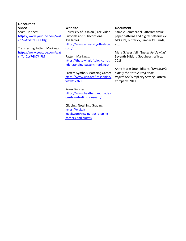| <b>Resources</b>                      |                                    |                                         |
|---------------------------------------|------------------------------------|-----------------------------------------|
| <b>Video</b>                          | <b>Website</b>                     | <b>Document</b>                         |
| Seam Finishes:                        | University of Fashion (Free Video  | Sample Commercial Patterns; tissue      |
| https://www.youtube.com/wat           | <b>Tutorials and Subscriptions</b> | paper patterns and digital patterns ex: |
| ch?v=CGICpUOHUUg                      | Available)                         | McCall's, Butterick, Simplicity, Burda, |
|                                       | https://www.universityoffashion.   | etc.                                    |
| <b>Transferring Pattern Markings:</b> | com/                               |                                         |
| https://www.youtube.com/wat           |                                    | Mary G. Westfall, "Successful Sewing"   |
| ch?v=2tYPGh7J PM                      | Pattern Markings:                  | Seventh Edition, Goodheart-Wilcox,      |
|                                       | https://thesewingloftblog.com/u    | 2013.                                   |
|                                       | nderstanding-pattern-markings/     |                                         |
|                                       |                                    | Anne Marie Soto (Editor), "Simplicity's |
|                                       | Pattern Symbols Matching Game:     | Simply the Best Sewing Book             |
|                                       | https://www.uen.org/lessonplan/    | Paperback" Simplicity Sewing Pattern    |
|                                       | view/12360                         | Company, 2011.                          |
|                                       |                                    |                                         |
|                                       | Seam Finishes:                     |                                         |
|                                       | https://www.heatherhandmade.c      |                                         |
|                                       | om/how-to-finish-a-seam/           |                                         |
|                                       |                                    |                                         |
|                                       | Clipping, Notching, Grading:       |                                         |
|                                       | https://makeit-                    |                                         |
|                                       | loveit.com/sewing-tips-clipping-   |                                         |
|                                       | corners-and-curves                 |                                         |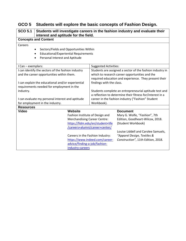| GCO 5 Students will explore the basic concepts of Fashion Design. |  |
|-------------------------------------------------------------------|--|
|-------------------------------------------------------------------|--|

| <b>SCO 5.1</b><br>Students will investigate careers in the fashion industry and evaluate their<br>interest and aptitude for the field.                                                            |                                                                                                                                                                                   |                                                                                                                                                                                        |                                                                                                                                                                                                                        |  |  |
|---------------------------------------------------------------------------------------------------------------------------------------------------------------------------------------------------|-----------------------------------------------------------------------------------------------------------------------------------------------------------------------------------|----------------------------------------------------------------------------------------------------------------------------------------------------------------------------------------|------------------------------------------------------------------------------------------------------------------------------------------------------------------------------------------------------------------------|--|--|
| <b>Concepts and Content</b>                                                                                                                                                                       |                                                                                                                                                                                   |                                                                                                                                                                                        |                                                                                                                                                                                                                        |  |  |
| Careers<br>Sectors/Fields and Opportunities Within<br>٠<br><b>Educational/Experiential Requirements</b><br>٠<br>Personal Interest and Aptitude<br>٠                                               |                                                                                                                                                                                   |                                                                                                                                                                                        |                                                                                                                                                                                                                        |  |  |
| I Can - exemplars:                                                                                                                                                                                |                                                                                                                                                                                   | <b>Suggested Activities:</b>                                                                                                                                                           |                                                                                                                                                                                                                        |  |  |
| I can identify the sectors of the fashion industry<br>and the career opportunities within them.<br>I can explain the educational and/or experiential<br>requirements needed for employment in the |                                                                                                                                                                                   | findings with the class.                                                                                                                                                               | Students are assigned a sector of the fashion industry in<br>which to research career opportunities and the<br>required education and experience. They present their                                                   |  |  |
| industry.<br>I can evaluate my personal interest and aptitude<br>for employment in the industry.                                                                                                  |                                                                                                                                                                                   | Students complete an entrepreneurial aptitude test and<br>a reflection to determine their fitness for/interest in a<br>career in the fashion industry ("Fashion" Student<br>Workbook). |                                                                                                                                                                                                                        |  |  |
| <b>Resources</b>                                                                                                                                                                                  |                                                                                                                                                                                   |                                                                                                                                                                                        |                                                                                                                                                                                                                        |  |  |
| <b>Video</b>                                                                                                                                                                                      | <b>Website</b><br>Fashion Institute of Design and<br><b>Merchandising Career Centre:</b><br>Careers in the Fashion Industry:<br>advice/finding-a-job/fashion-<br>industry-careers | https://fidm.edu/en/student+life<br>/careers+alumni/career+center/<br>https://www.indeed.com/career-                                                                                   | <b>Document</b><br>Mary G. Wolfe, "Fashion", 7th<br>Edition, Goodheart-Wilcox, 2018.<br>(Student Workbook)<br>Louise Liddell and Carolee Samuels,<br>"Apparel Design, Textiles &<br>Construction", 11th Edition, 2018. |  |  |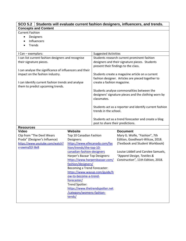| SCO 5.2 Students will evaluate current fashion designers, influencers, and trends. |                                       |                                                                            |                                                                   |  |  |  |
|------------------------------------------------------------------------------------|---------------------------------------|----------------------------------------------------------------------------|-------------------------------------------------------------------|--|--|--|
| <b>Concepts and Content</b>                                                        |                                       |                                                                            |                                                                   |  |  |  |
| <b>Current Fashion</b>                                                             |                                       |                                                                            |                                                                   |  |  |  |
| Designers<br>$\bullet$                                                             |                                       |                                                                            |                                                                   |  |  |  |
| Influencers                                                                        |                                       |                                                                            |                                                                   |  |  |  |
| Trends                                                                             |                                       |                                                                            |                                                                   |  |  |  |
|                                                                                    |                                       |                                                                            |                                                                   |  |  |  |
| I Can - exemplars:<br>I can list current fashion designers and recognise           |                                       | <b>Suggested Activities</b><br>Students research current prominent fashion |                                                                   |  |  |  |
| their signature pieces.                                                            |                                       | designers and their signature pieces. Students                             |                                                                   |  |  |  |
|                                                                                    |                                       | present their findings to the class.                                       |                                                                   |  |  |  |
| I can analyse the significance of influencers and their                            |                                       |                                                                            |                                                                   |  |  |  |
| impact on the fashion industry.                                                    |                                       | Students create a magazine article on a current                            |                                                                   |  |  |  |
|                                                                                    |                                       |                                                                            | fashion designer. Articles are pieced together to                 |  |  |  |
| I can identify current fashion trends and analyse                                  |                                       | create a fashion magazine.                                                 |                                                                   |  |  |  |
| them to predict upcoming trends.                                                   |                                       |                                                                            |                                                                   |  |  |  |
|                                                                                    |                                       |                                                                            | Students analyse commonalities between the                        |  |  |  |
|                                                                                    |                                       |                                                                            | designers' signature pieces and the clothing worn by              |  |  |  |
|                                                                                    |                                       | classmates.                                                                |                                                                   |  |  |  |
|                                                                                    |                                       |                                                                            | Students act as a reporter and identify current fashion           |  |  |  |
|                                                                                    |                                       | trends in the school.                                                      |                                                                   |  |  |  |
|                                                                                    |                                       |                                                                            |                                                                   |  |  |  |
|                                                                                    |                                       | Students act as a trend forecaster and create a blog                       |                                                                   |  |  |  |
|                                                                                    |                                       | post to share their predictions.                                           |                                                                   |  |  |  |
| <b>Resources</b>                                                                   |                                       |                                                                            |                                                                   |  |  |  |
| <b>Video</b>                                                                       | <b>Website</b>                        |                                                                            | <b>Document</b>                                                   |  |  |  |
| Clip from "The Devil Wears<br>Prada" (Designer's Influence)                        | Top 10 Canadian Fashion<br>Designers: |                                                                            | Mary G. Wolfe, "Fashion", 7th<br>Edition, Goodheart-Wilcox, 2018. |  |  |  |
| https://www.youtube.com/watch?                                                     | https://www.ellecanada.com/fas        |                                                                            | (Textbook and Student Workbook)                                   |  |  |  |
| v=awmyDjY-8e8                                                                      | hion/trends/the-top-10-               |                                                                            |                                                                   |  |  |  |
|                                                                                    | canadian-fashion-designers            |                                                                            | Louise Liddell and Carolee Samuels,                               |  |  |  |
|                                                                                    | Harper's Bazaar Top Designers:        |                                                                            | "Apparel Design, Textiles &                                       |  |  |  |
|                                                                                    |                                       |                                                                            | https://www.harpersbazaar.com/ Construction", 11th Edition, 2018. |  |  |  |
|                                                                                    | fashion/designers/                    |                                                                            |                                                                   |  |  |  |
|                                                                                    | Becoming a Trend Forecaster:          |                                                                            |                                                                   |  |  |  |
|                                                                                    | https://www.wayup.com/guide/h         |                                                                            |                                                                   |  |  |  |
|                                                                                    | ow-to-become-a-trend-                 |                                                                            |                                                                   |  |  |  |
|                                                                                    | forecaster/<br>Trend Spotter:         |                                                                            |                                                                   |  |  |  |
| https://www.thetrendspotter.net                                                    |                                       |                                                                            |                                                                   |  |  |  |
|                                                                                    | /category/womens-fashion-             |                                                                            |                                                                   |  |  |  |
|                                                                                    | tends/                                |                                                                            |                                                                   |  |  |  |
|                                                                                    |                                       |                                                                            |                                                                   |  |  |  |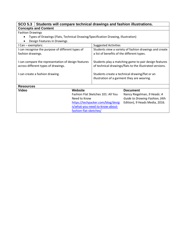#### **SCO 5.3 Students will compare technical drawings and fashion illustrations. Concepts and Content**

#### Fashion Drawings

- Types of Drawings (Flats, Technical Drawing/Specification Drawing, Illustration)
- Design Features in Drawings

| DC31511 I Catal C3 III DI awilis 3                  |                                    |                                                        |                                                          |  |
|-----------------------------------------------------|------------------------------------|--------------------------------------------------------|----------------------------------------------------------|--|
| I Can - exemplars:                                  |                                    | <b>Suggested Activities</b>                            |                                                          |  |
| I can recognise the purpose of different types of   |                                    | Students view a variety of fashion drawings and create |                                                          |  |
| fashion drawings.                                   |                                    | a list of benefits of the different types.             |                                                          |  |
|                                                     |                                    |                                                        |                                                          |  |
| I can compare the representation of design features |                                    |                                                        | Students play a matching game to pair design features    |  |
| across different types of drawings.                 |                                    |                                                        | of technical drawings/flats to the illustrated versions. |  |
|                                                     |                                    |                                                        |                                                          |  |
| I can create a fashion drawing.                     |                                    |                                                        | Students create a technical drawing/flat or an           |  |
|                                                     |                                    | illustration of a garment they are wearing.            |                                                          |  |
|                                                     |                                    |                                                        |                                                          |  |
| <b>Resources</b>                                    |                                    |                                                        |                                                          |  |
| Video                                               | Website                            |                                                        | <b>Document</b>                                          |  |
|                                                     | Fashion Flat Sketches 101: All You |                                                        | Nancy Riegelman, 9 Heads: A                              |  |
|                                                     | Need to Know                       |                                                        | Guide to Drawing Fashion, (4th                           |  |
|                                                     | https://techpacker.com/blog/desig  |                                                        | Edition), 9 Heads Media, 2016.                           |  |
|                                                     | n/what-you-need-to-know-about-     |                                                        |                                                          |  |
|                                                     | fashion-flat-sketches/             |                                                        |                                                          |  |